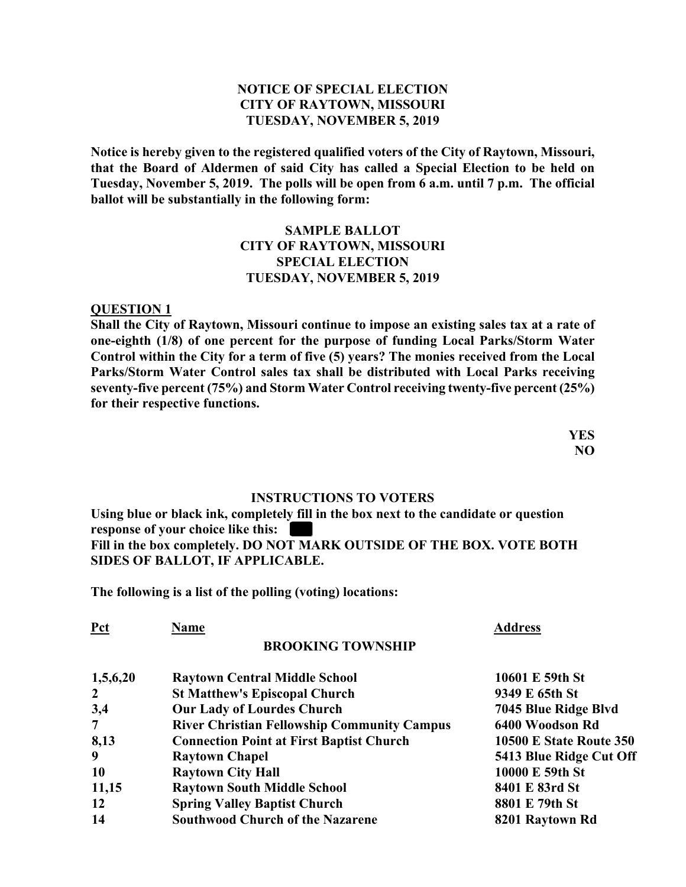## **NOTICE OF SPECIAL ELECTION CITY OF RAYTOWN, MISSOURI TUESDAY, NOVEMBER 5, 2019**

**Notice is hereby given to the registered qualified voters of the City of Raytown, Missouri, that the Board of Aldermen of said City has called a Special Election to be held on Tuesday, November 5, 2019. The polls will be open from 6 a.m. until 7 p.m. The official ballot will be substantially in the following form:** 

## **SAMPLE BALLOT CITY OF RAYTOWN, MISSOURI SPECIAL ELECTION TUESDAY, NOVEMBER 5, 2019**

#### **QUESTION 1**

**Shall the City of Raytown, Missouri continue to impose an existing sales tax at a rate of one-eighth (1/8) of one percent for the purpose of funding Local Parks/Storm Water Control within the City for a term of five (5) years? The monies received from the Local Parks/Storm Water Control sales tax shall be distributed with Local Parks receiving seventy-five percent (75%) and Storm Water Control receiving twenty-five percent (25%) for their respective functions.** 

> **YES NO**

#### **INSTRUCTIONS TO VOTERS**

**Using blue or black ink, completely fill in the box next to the candidate or question response of your choice like this: Fill in the box completely. DO NOT MARK OUTSIDE OF THE BOX. VOTE BOTH SIDES OF BALLOT, IF APPLICABLE.** 

**The following is a list of the polling (voting) locations:** 

| Name                                               | <b>Address</b>                 |
|----------------------------------------------------|--------------------------------|
| <b>BROOKING TOWNSHIP</b>                           |                                |
| <b>Raytown Central Middle School</b>               | 10601 E 59th St                |
| <b>St Matthew's Episcopal Church</b>               | 9349 E 65th St                 |
| <b>Our Lady of Lourdes Church</b>                  | 7045 Blue Ridge Blvd           |
| <b>River Christian Fellowship Community Campus</b> | 6400 Woodson Rd                |
| <b>Connection Point at First Baptist Church</b>    | <b>10500 E State Route 350</b> |
| <b>Raytown Chapel</b>                              | 5413 Blue Ridge Cut Off        |
| <b>Raytown City Hall</b>                           | 10000 E 59th St                |
| <b>Raytown South Middle School</b>                 | 8401 E 83rd St                 |
| <b>Spring Valley Baptist Church</b>                | 8801 E 79th St                 |
| <b>Southwood Church of the Nazarene</b>            | 8201 Raytown Rd                |
|                                                    |                                |